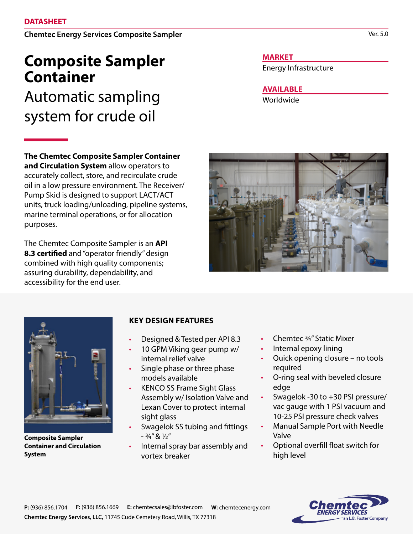Chemtec Energy Services Composite Sampler

## **Composite Sampler Container**

Automatic sampling system for crude oil

**The Chemtec Composite Sampler Container and Circulation System** allow operators to accurately collect, store, and recirculate crude oil in a low pressure environment. The Receiver/ Pump Skid is designed to support LACT/ACT units, truck loading/unloading, pipeline systems, marine terminal operations, or for allocation purposes.

The Chemtec Composite Sampler is an **API 8.3 certified** and "operator friendly" design combined with high quality components; assuring durability, dependability, and accessibility for the end user.

**Composite Sampler Container and Circulation** 

**System**

## **KEY DESIGN FEATURES**

- Designed & Tested per API 8.3
- 10 GPM Viking gear pump w/ internal relief valve
- Single phase or three phase models available
- KENCO SS Frame Sight Glass Assembly w/ Isolation Valve and Lexan Cover to protect internal sight glass
- Swagelok SS tubing and fittings  $3/4''$   $8$   $1/2''$
- Internal spray bar assembly and vortex breaker

## **MARKET**

Energy Infrastructure

**AVAILABLE**

Worldwide



- Internal epoxy lining
- Quick opening closure no tools required
- O-ring seal with beveled closure edge
- Swagelok -30 to +30 PSI pressure/ vac gauge with 1 PSI vacuum and 10-25 PSI pressure check valves
- Manual Sample Port with Needle Valve
- Optional overfill float switch for high level